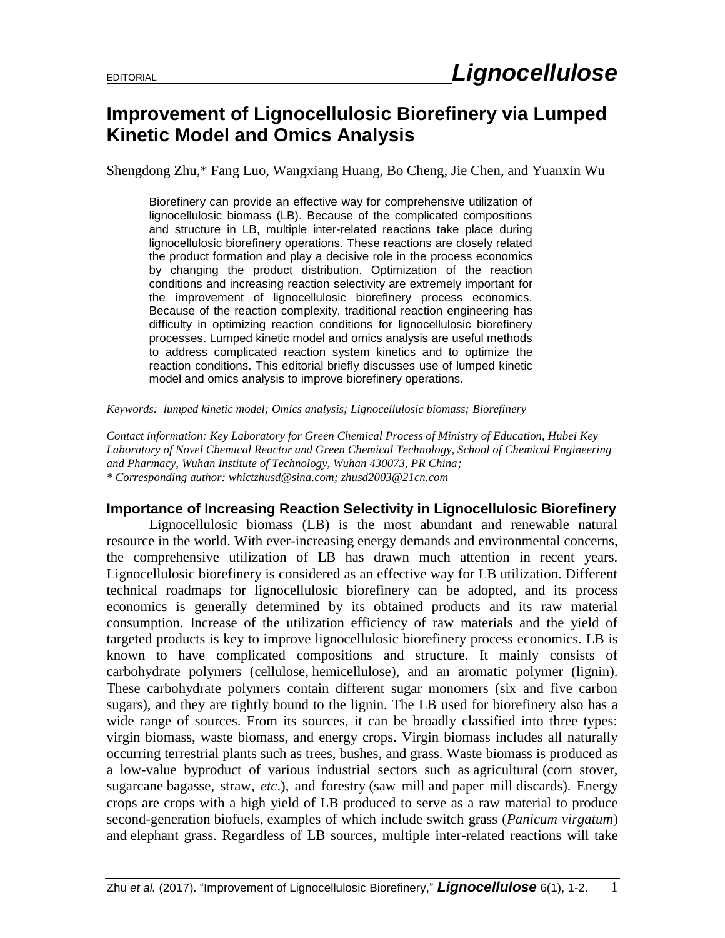## **Improvement of Lignocellulosic Biorefinery via Lumped Kinetic Model and Omics Analysis**

Shengdong Zhu,\* Fang Luo, Wangxiang Huang, Bo Cheng, Jie Chen, and Yuanxin Wu

Biorefinery can provide an effective way for comprehensive utilization of lignocellulosic biomass (LB). Because of the complicated compositions and structure in LB, multiple inter-related reactions take place during lignocellulosic biorefinery operations. These reactions are closely related the product formation and play a decisive role in the process economics by changing the product distribution. Optimization of the reaction conditions and increasing reaction selectivity are extremely important for the improvement of lignocellulosic biorefinery process economics. Because of the reaction complexity, traditional reaction engineering has difficulty in optimizing reaction conditions for lignocellulosic biorefinery processes. Lumped kinetic model and omics analysis are useful methods to address complicated reaction system kinetics and to optimize the reaction conditions. This editorial briefly discusses use of lumped kinetic model and omics analysis to improve biorefinery operations.

*Keywords: lumped kinetic model; Omics analysis; Lignocellulosic biomass; Biorefinery*

*Contact information: Key Laboratory for Green Chemical Process of Ministry of Education, Hubei Key Laboratory of Novel Chemical Reactor and Green Chemical Technology, School of Chemical Engineering and Pharmacy, Wuhan Institute of Technology, Wuhan 430073, PR China; \* Corresponding author: whictzhusd@sina.com; zhusd2003@21cn.com* 

## **Importance of Increasing Reaction Selectivity in Lignocellulosic Biorefinery**

Lignocellulosic biomass (LB) is the most abundant and renewable natural resource in the world. With ever-increasing energy demands and environmental concerns, the comprehensive utilization of LB has drawn much attention in recent years. Lignocellulosic biorefinery is considered as an effective way for LB utilization. Different technical roadmaps for lignocellulosic biorefinery can be adopted, and its process economics is generally determined by its obtained products and its raw material consumption. Increase of the utilization efficiency of raw materials and the yield of targeted products is key to improve lignocellulosic biorefinery process economics. LB is known to have complicated compositions and structure. It mainly consists of carbohydrate polymers [\(cellulose,](https://en.wikipedia.org/wiki/Cellulose) [hemicellulose\)](https://en.wikipedia.org/wiki/Hemicellulose), and an aromatic polymer [\(lignin\)](https://en.wikipedia.org/wiki/Lignin). These carbohydrate polymers contain different sugar monomers (six and five carbon sugars), and they are tightly bound to the lignin. The LB used for biorefinery also has a wide range of sources. From its sources, it can be broadly classified into three types: virgin biomass, waste biomass, and energy crops. Virgin biomass includes all naturally occurring terrestrial plants such as trees, bushes, and grass. Waste biomass is produced as a low-value byproduct of various industrial sectors such as [agricultural](https://en.wikipedia.org/wiki/Agriculture) [\(corn stover,](https://en.wikipedia.org/wiki/Corn_stover) sugarcane [bagasse,](https://en.wikipedia.org/wiki/Bagasse) straw, *etc*.), and [forestry](https://en.wikipedia.org/wiki/Forestry) [\(saw mill](https://en.wikipedia.org/wiki/Saw_mill) and [paper mill](https://en.wikipedia.org/wiki/Paper_mill) discards). Energy crops are crops with a high yield of LB produced to serve as a raw material to produce second-generation [biofuels](https://en.wikipedia.org/wiki/Biofuel), examples of which include switch grass (*[Panicum virgatum](https://en.wikipedia.org/wiki/Panicum_virgatum)*) and [elephant grass.](https://en.wikipedia.org/wiki/Elephant_grass) Regardless of LB sources, multiple inter-related reactions will take